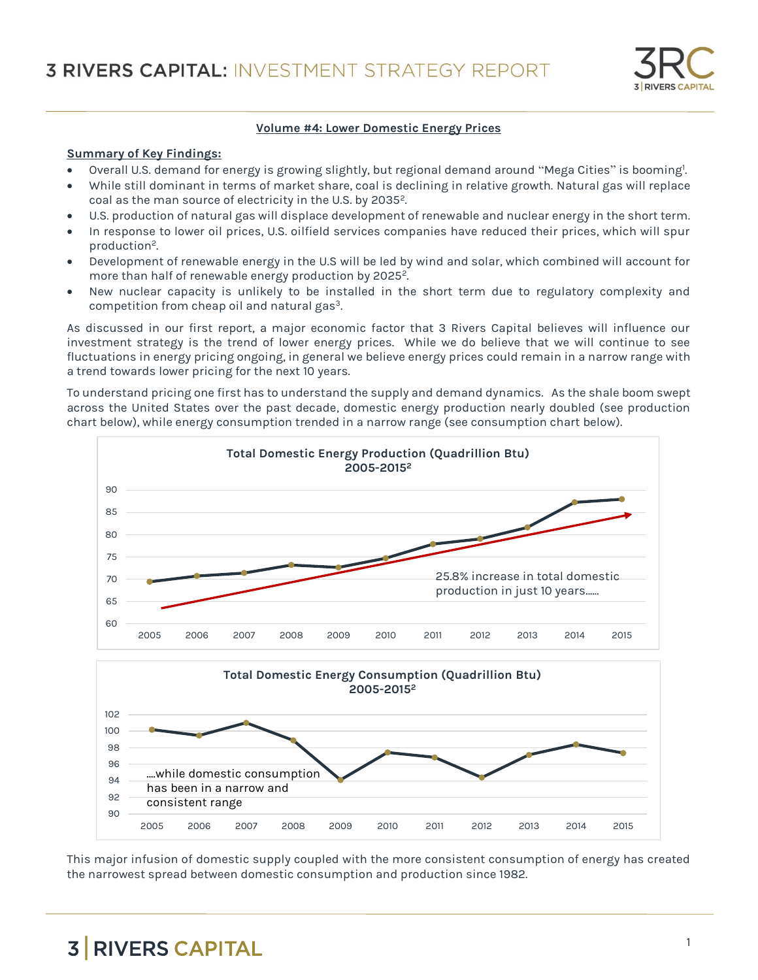

#### **Volume #4: Lower Domestic Energy Prices**

#### **Summary of Key Findings:**

- Overall U.S. demand for energy is growing slightly, but regional demand around "Mega Cities" is booming!. .
- While still dominant in terms of market share, coal is declining in relative growth. Natural gas will replace coal as the man source of electricity in the U.S. by 2035<sup>2</sup>.
- U.S. production of natural gas will displace development of renewable and nuclear energy in the short term.
- In response to lower oil prices, U.S. oilfield services companies have reduced their prices, which will spur production<sup>2</sup>. .
- Development of renewable energy in the U.S will be led by wind and solar, which combined will account for more than half of renewable energy production by 2025<sup>2</sup>. .
- New nuclear capacity is unlikely to be installed in the short term due to regulatory complexity and competition from cheap oil and natural gas<sup>3</sup>.

As discussed in our first report, a major economic factor that 3 Rivers Capital believes will influence our investment strategy is the trend of lower energy prices. While we do believe that we will continue to see fluctuations in energy pricing ongoing, in general we believe energy prices could remain in a narrow range with a trend towards lower pricing for the next 10 years.

To understand pricing one first has to understand the supply and demand dynamics. As the shale boom swept across the United States over the past decade, domestic energy production nearly doubled (see production chart below), while energy consumption trended in a narrow range (see consumption chart below).



This major infusion of domestic supply coupled with the more consistent consumption of energy has created the narrowest spread between domestic consumption and production since 1982.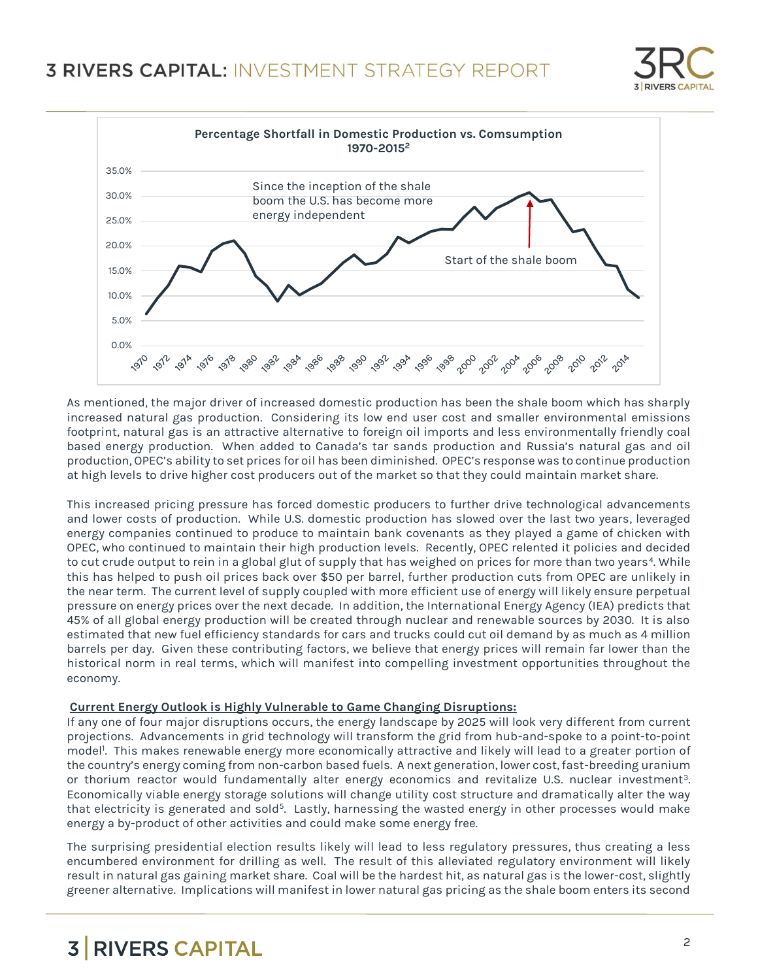



As mentioned, the major driver of increased domestic production has been the shale boom which has sharply increased natural gas production. Considering its low end user cost and smaller environmental emissions footprint, natural gas is an attractive alternative to foreign oil imports and less environmentally friendly coal based energy production. When added to Canada's tar sands production and Russia's natural gas and oil production, OPEC's ability to set prices for oil has been diminished. OPEC's response was to continue production at high levels to drive higher cost producers out of the market so that they could maintain market share.

This increased pricing pressure has forced domestic producers to further drive technological advancements and lower costs of production. While U.S. domestic production has slowed over the last two years, leveraged energy companies continued to produce to maintain bank covenants as they played a game of chicken with OPEC, who continued to maintain their high production levels. Recently, OPEC relented it policies and decided to cut crude output to rein in a global glut of supply that has weighed on prices for more than two years<sup>4</sup>. While this has helped to push oil prices back over \$50 per barrel, further production cuts from OPEC are unlikely in the near term. The current level of supply coupled with more efficient use of energy will likely ensure perpetual pressure on energy prices over the next decade. In addition, the International Energy Agency (IEA) predicts that 45% of all global energy production will be created through nuclear and renewable sources by 2030. It is also estimated that new fuel efficiency standards for cars and trucks could cut oil demand by as much as 4 million barrels per day. Given these contributing factors, we believe that energy prices will remain far lower than the historical norm in real terms, which will manifest into compelling investment opportunities throughout the economy.

## **Current Energy Outlook is Highly Vulnerable to Game Changing Disruptions:**

If any one of four major disruptions occurs, the energy landscape by 2025 will look very different from current projections. Advancements in grid technology will transform the grid from hub-and-spoke to a point-to-point model<sup>1</sup> . This makes renewable energy more economically attractive and likely will lead to a greater portion of the country's energy coming from non-carbon based fuels. A next generation, lower cost, fast-breeding uranium or thorium reactor would fundamentally alter energy economics and revitalize U.S. nuclear investment<sup>3</sup>. Economically viable energy storage solutions will change utility cost structure and dramatically alter the way that electricity is generated and sold<sup>5</sup>. Lastly, harnessing the wasted energy in other processes would make energy a by-product of other activities and could make some energy free.

The surprising presidential election results likely will lead to less regulatory pressures, thus creating a less encumbered environment for drilling as well. The result of this alleviated regulatory environment will likely result in natural gas gaining market share. Coal will be the hardest hit, as natural gas is the lower-cost, slightly greener alternative. Implications will manifest in lower natural gas pricing as the shale boom enters its second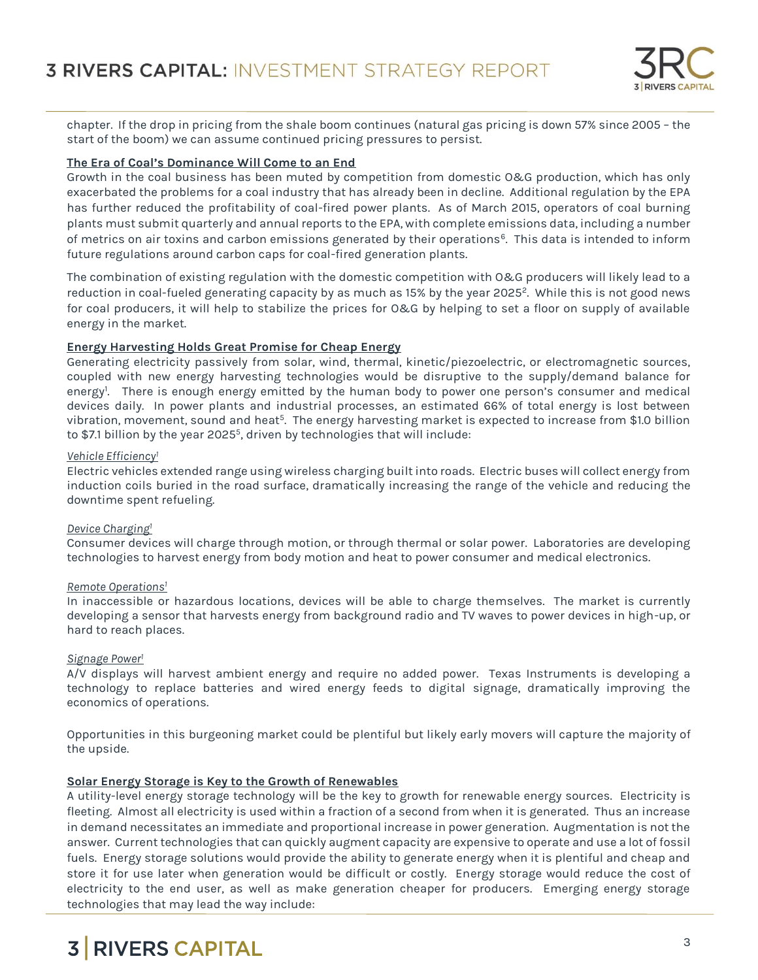

chapter. If the drop in pricing from the shale boom continues (natural gas pricing is down 57% since 2005 – the start of the boom) we can assume continued pricing pressures to persist.

## **The Era of Coal's Dominance Will Come to an End**

Growth in the coal business has been muted by competition from domestic O&G production, which has only exacerbated the problems for a coal industry that has already been in decline. Additional regulation by the EPA has further reduced the profitability of coal-fired power plants. As of March 2015, operators of coal burning plants must submit quarterly and annual reports to the EPA, with complete emissions data, including a number of metrics on air toxins and carbon emissions generated by their operations<sup>6</sup>. This data is intended to inform future regulations around carbon caps for coal-fired generation plants.

The combination of existing regulation with the domestic competition with O&G producers will likely lead to a reduction in coal-fueled generating capacity by as much as 15% by the year 2025<sup>2</sup>. While this is not good news for coal producers, it will help to stabilize the prices for O&G by helping to set a floor on supply of available energy in the market.

# **Energy Harvesting Holds Great Promise for Cheap Energy**

Generating electricity passively from solar, wind, thermal, kinetic/piezoelectric, or electromagnetic sources, coupled with new energy harvesting technologies would be disruptive to the supply/demand balance for energy<sup>1</sup> . There is enough energy emitted by the human body to power one person's consumer and medical devices daily. In power plants and industrial processes, an estimated 66% of total energy is lost between vibration, movement, sound and heat<sup>5</sup>. The energy harvesting market is expected to increase from \$1.0 billion to  $$7.1$  billion by the year 2025 $^5$ , driven by technologies that will include:

## *Vehicle Efficiency<sup>1</sup>*

Electric vehicles extended range using wireless charging built into roads. Electric buses will collect energy from induction coils buried in the road surface, dramatically increasing the range of the vehicle and reducing the downtime spent refueling.

## *Device Charging<sup>1</sup>*

Consumer devices will charge through motion, or through thermal or solar power. Laboratories are developing technologies to harvest energy from body motion and heat to power consumer and medical electronics.

## *Remote Operations<sup>1</sup>*

In inaccessible or hazardous locations, devices will be able to charge themselves. The market is currently developing a sensor that harvests energy from background radio and TV waves to power devices in high-up, or hard to reach places.

## *Signage Power<sup>1</sup>*

A/V displays will harvest ambient energy and require no added power. Texas Instruments is developing a technology to replace batteries and wired energy feeds to digital signage, dramatically improving the economics of operations.

Opportunities in this burgeoning market could be plentiful but likely early movers will capture the majority of the upside.

# **Solar Energy Storage is Key to the Growth of Renewables**

A utility-level energy storage technology will be the key to growth for renewable energy sources. Electricity is fleeting. Almost all electricity is used within a fraction of a second from when it is generated. Thus an increase in demand necessitates an immediate and proportional increase in power generation. Augmentation is not the answer. Current technologies that can quickly augment capacity are expensive to operate and use a lot of fossil fuels. Energy storage solutions would provide the ability to generate energy when it is plentiful and cheap and store it for use later when generation would be difficult or costly. Energy storage would reduce the cost of electricity to the end user, as well as make generation cheaper for producers. Emerging energy storage technologies that may lead the way include: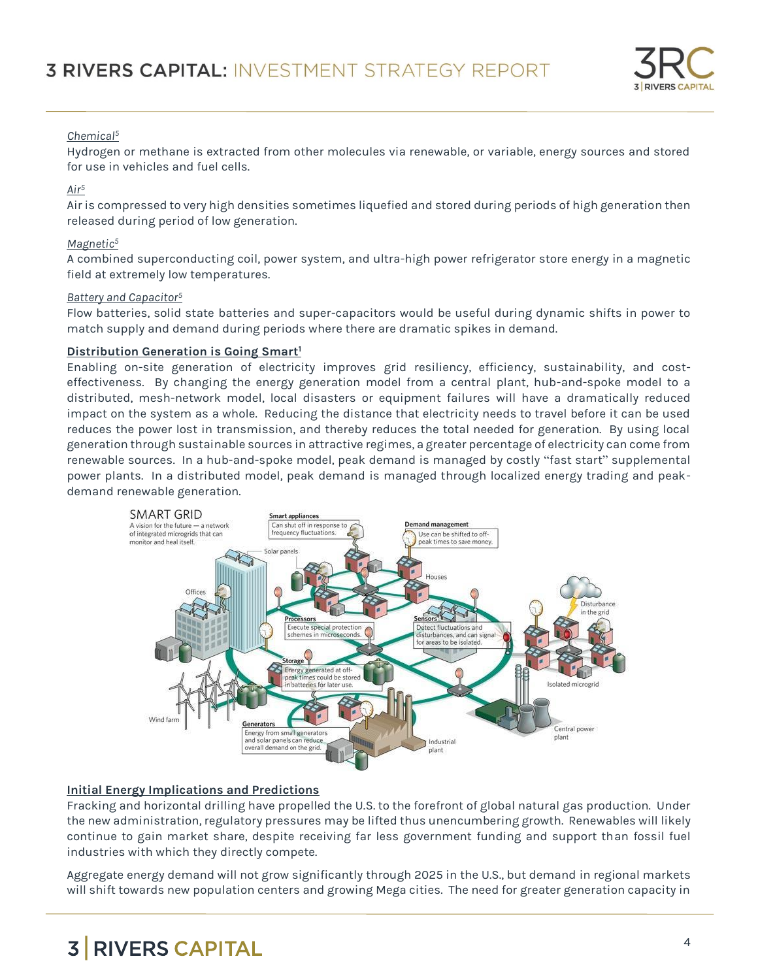

# *Chemical<sup>5</sup>*

Hydrogen or methane is extracted from other molecules via renewable, or variable, energy sources and stored for use in vehicles and fuel cells.

# *Air<sup>5</sup>*

Air is compressed to very high densities sometimes liquefied and stored during periods of high generation then released during period of low generation.

# *Magnetic<sup>5</sup>*

A combined superconducting coil, power system, and ultra-high power refrigerator store energy in a magnetic field at extremely low temperatures.

## *Battery and Capacitor<sup>5</sup>*

Flow batteries, solid state batteries and super-capacitors would be useful during dynamic shifts in power to match supply and demand during periods where there are dramatic spikes in demand.

# **Distribution Generation is Going Smart<sup>1</sup>**

Enabling on-site generation of electricity improves grid resiliency, efficiency, sustainability, and costeffectiveness. By changing the energy generation model from a central plant, hub-and-spoke model to a distributed, mesh-network model, local disasters or equipment failures will have a dramatically reduced impact on the system as a whole. Reducing the distance that electricity needs to travel before it can be used reduces the power lost in transmission, and thereby reduces the total needed for generation. By using local generation through sustainable sources in attractive regimes, a greater percentage of electricity can come from renewable sources. In a hub-and-spoke model, peak demand is managed by costly "fast start" supplemental power plants. In a distributed model, peak demand is managed through localized energy trading and peakdemand renewable generation.



# **Initial Energy Implications and Predictions**

Fracking and horizontal drilling have propelled the U.S. to the forefront of global natural gas production. Under the new administration, regulatory pressures may be lifted thus unencumbering growth. Renewables will likely continue to gain market share, despite receiving far less government funding and support than fossil fuel industries with which they directly compete.

Aggregate energy demand will not grow significantly through 2025 in the U.S., but demand in regional markets will shift towards new population centers and growing Mega cities. The need for greater generation capacity in